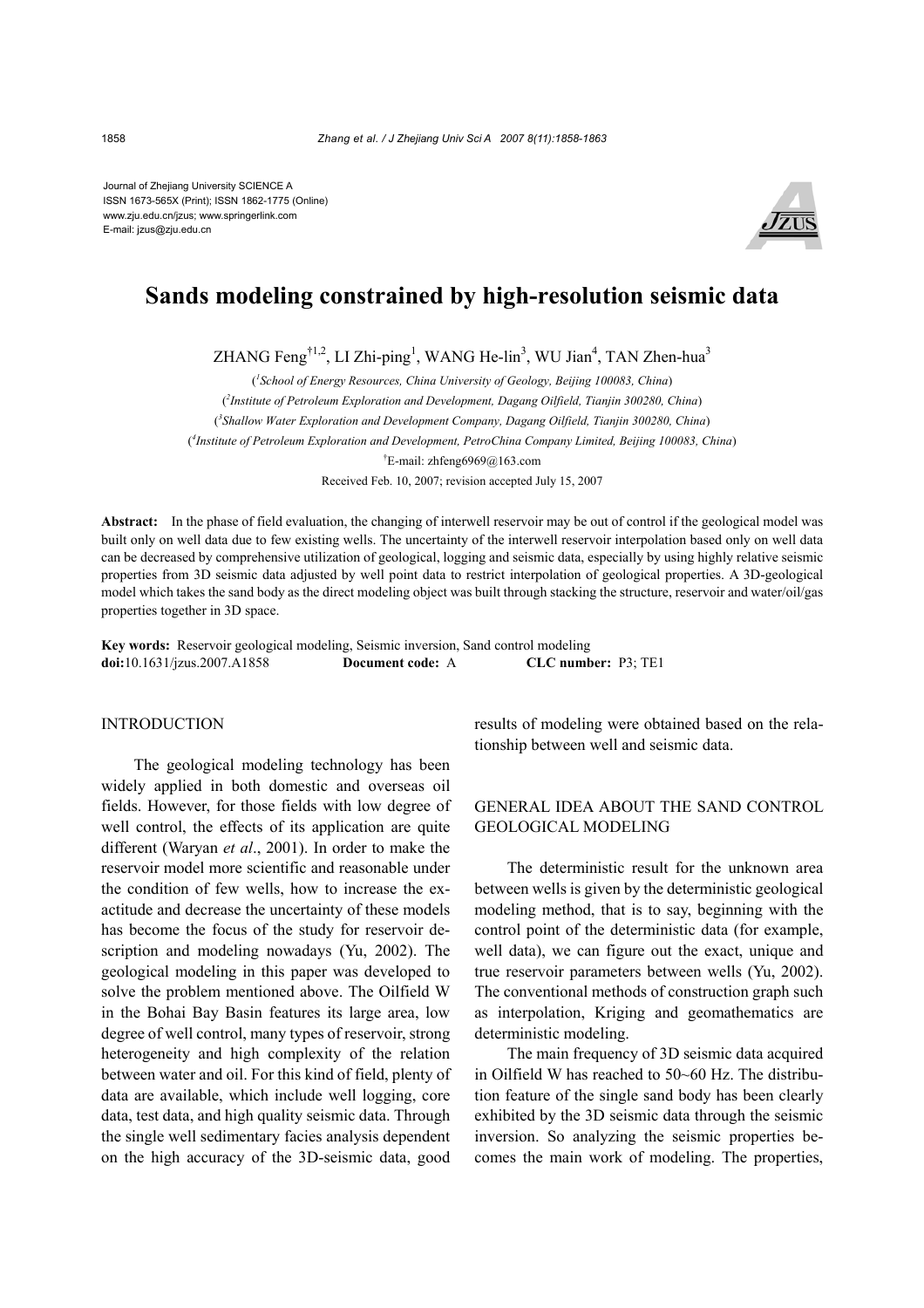Journal of Zhejiang University SCIENCE A ISSN 1673-565X (Print); ISSN 1862-1775 (Online) www.zju.edu.cn/jzus; www.springerlink.com E-mail: jzus@zju.edu.cn



# **Sands modeling constrained by high-resolution seismic data**

ZHANG Feng<sup>†1,2</sup>, LI Zhi-ping<sup>1</sup>, WANG He-lin<sup>3</sup>, WU Jian<sup>4</sup>, TAN Zhen-hua<sup>3</sup>

( *1 School of Energy Resources, China University of Geology, Beijing 100083, China*) ( *2 Institute of Petroleum Exploration and Development, Dagang Oilfield, Tianjin 300280, China*) ( *3 Shallow Water Exploration and Development Company, Dagang Oilfield, Tianjin 300280, China*) ( *4 Institute of Petroleum Exploration and Development, PetroChina Company Limited, Beijing 100083, China*) † E-mail: zhfeng6969@163.com Received Feb. 10, 2007; revision accepted July 15, 2007

**Abstract:** In the phase of field evaluation, the changing of interwell reservoir may be out of control if the geological model was built only on well data due to few existing wells. The uncertainty of the interwell reservoir interpolation based only on well data can be decreased by comprehensive utilization of geological, logging and seismic data, especially by using highly relative seismic properties from 3D seismic data adjusted by well point data to restrict interpolation of geological properties. A 3D-geological model which takes the sand body as the direct modeling object was built through stacking the structure, reservoir and water/oil/gas properties together in 3D space.

**Key words:** Reservoir geological modeling, Seismic inversion, Sand control modeling **doi:**10.1631/jzus.2007.A1858 **Document code:** A **CLC number:** P3; TE1

## INTRODUCTION

The geological modeling technology has been widely applied in both domestic and overseas oil fields. However, for those fields with low degree of well control, the effects of its application are quite different (Waryan *et al*., 2001). In order to make the reservoir model more scientific and reasonable under the condition of few wells, how to increase the exactitude and decrease the uncertainty of these models has become the focus of the study for reservoir description and modeling nowadays (Yu, 2002). The geological modeling in this paper was developed to solve the problem mentioned above. The Oilfield W in the Bohai Bay Basin features its large area, low degree of well control, many types of reservoir, strong heterogeneity and high complexity of the relation between water and oil. For this kind of field, plenty of data are available, which include well logging, core data, test data, and high quality seismic data. Through the single well sedimentary facies analysis dependent on the high accuracy of the 3D-seismic data, good results of modeling were obtained based on the relationship between well and seismic data.

## GENERAL IDEA ABOUT THE SAND CONTROL GEOLOGICAL MODELING

The deterministic result for the unknown area between wells is given by the deterministic geological modeling method, that is to say, beginning with the control point of the deterministic data (for example, well data), we can figure out the exact, unique and true reservoir parameters between wells (Yu, 2002). The conventional methods of construction graph such as interpolation, Kriging and geomathematics are deterministic modeling.

The main frequency of 3D seismic data acquired in Oilfield W has reached to 50~60 Hz. The distribution feature of the single sand body has been clearly exhibited by the 3D seismic data through the seismic inversion. So analyzing the seismic properties becomes the main work of modeling. The properties,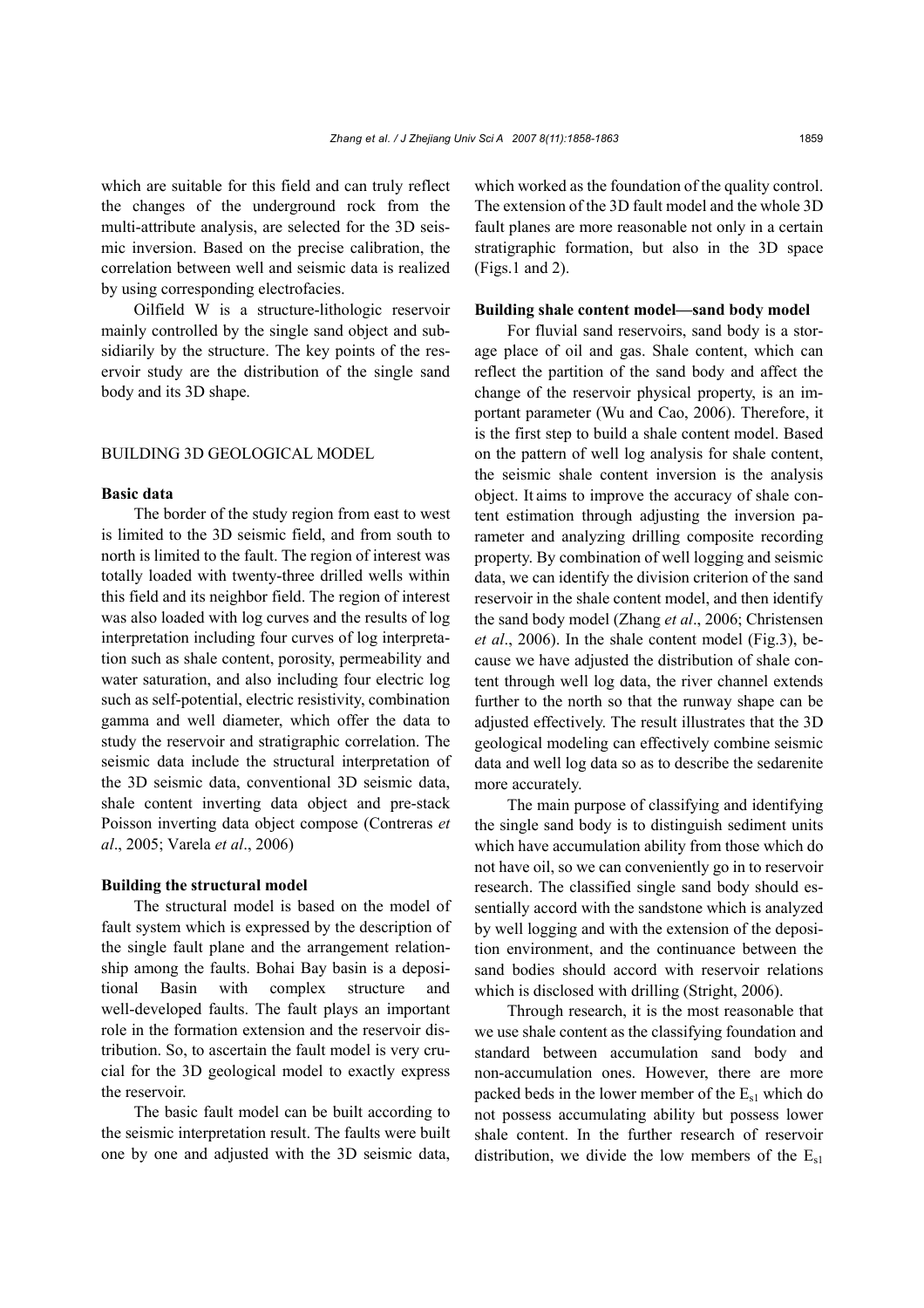which are suitable for this field and can truly reflect the changes of the underground rock from the multi-attribute analysis, are selected for the 3D seismic inversion. Based on the precise calibration, the correlation between well and seismic data is realized by using corresponding electrofacies.

Oilfield W is a structure-lithologic reservoir mainly controlled by the single sand object and subsidiarily by the structure. The key points of the reservoir study are the distribution of the single sand body and its 3D shape.

## BUILDING 3D GEOLOGICAL MODEL

#### **Basic data**

The border of the study region from east to west is limited to the 3D seismic field, and from south to north is limited to the fault. The region of interest was totally loaded with twenty-three drilled wells within this field and its neighbor field. The region of interest was also loaded with log curves and the results of log interpretation including four curves of log interpretation such as shale content, porosity, permeability and water saturation, and also including four electric log such as self-potential, electric resistivity, combination gamma and well diameter, which offer the data to study the reservoir and stratigraphic correlation. The seismic data include the structural interpretation of the 3D seismic data, conventional 3D seismic data, shale content inverting data object and pre-stack Poisson inverting data object compose (Contreras *et al*., 2005; Varela *et al*., 2006)

#### **Building the structural model**

The structural model is based on the model of fault system which is expressed by the description of the single fault plane and the arrangement relationship among the faults. Bohai Bay basin is a depositional Basin with complex structure and well-developed faults. The fault plays an important role in the formation extension and the reservoir distribution. So, to ascertain the fault model is very crucial for the 3D geological model to exactly express the reservoir.

The basic fault model can be built according to the seismic interpretation result. The faults were built one by one and adjusted with the 3D seismic data,

which worked as the foundation of the quality control. The extension of the 3D fault model and the whole 3D fault planes are more reasonable not only in a certain stratigraphic formation, but also in the 3D space (Figs.1 and 2).

#### **Building shale content model—sand body model**

For fluvial sand reservoirs, sand body is a storage place of oil and gas. Shale content, which can reflect the partition of the sand body and affect the change of the reservoir physical property, is an important parameter (Wu and Cao, 2006). Therefore, it is the first step to build a shale content model. Based on the pattern of well log analysis for shale content, the seismic shale content inversion is the analysis object. It aims to improve the accuracy of shale content estimation through adjusting the inversion parameter and analyzing drilling composite recording property. By combination of well logging and seismic data, we can identify the division criterion of the sand reservoir in the shale content model, and then identify the sand body model (Zhang *et al*., 2006; Christensen *et al*., 2006). In the shale content model (Fig.3), because we have adjusted the distribution of shale content through well log data, the river channel extends further to the north so that the runway shape can be adjusted effectively. The result illustrates that the 3D geological modeling can effectively combine seismic data and well log data so as to describe the sedarenite more accurately.

The main purpose of classifying and identifying the single sand body is to distinguish sediment units which have accumulation ability from those which do not have oil, so we can conveniently go in to reservoir research. The classified single sand body should essentially accord with the sandstone which is analyzed by well logging and with the extension of the deposition environment, and the continuance between the sand bodies should accord with reservoir relations which is disclosed with drilling (Stright, 2006).

Through research, it is the most reasonable that we use shale content as the classifying foundation and standard between accumulation sand body and non-accumulation ones. However, there are more packed beds in the lower member of the  $E_{s1}$  which do not possess accumulating ability but possess lower shale content. In the further research of reservoir distribution, we divide the low members of the  $E_{s1}$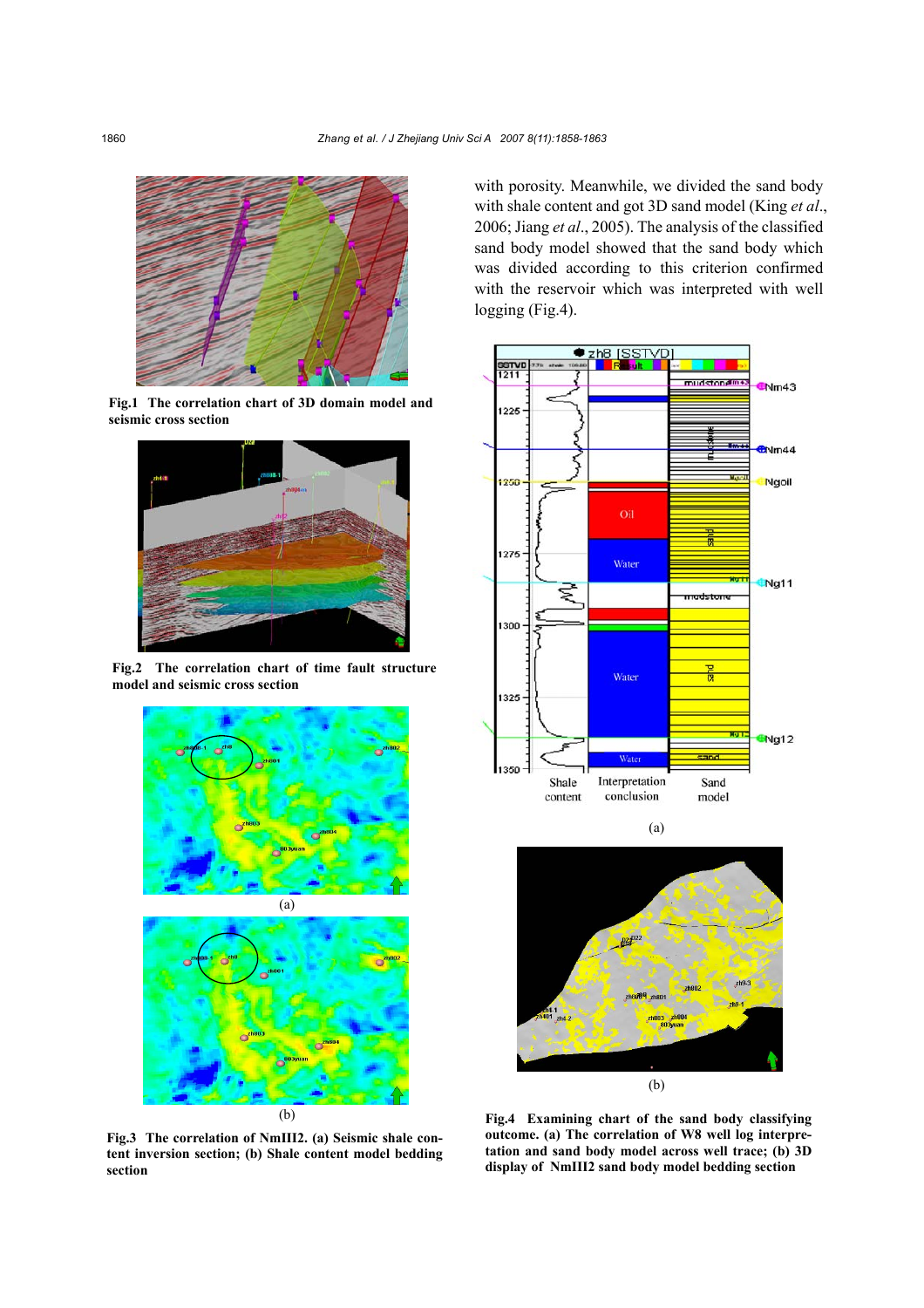

**Fig.1 The correlation chart of 3D domain model and seismic cross section**



**Fig.2 The correlation chart of time fault structure model and seismic cross section**



**Fig.3 The correlation of NmIII2. (a) Seismic shale content inversion section; (b) Shale content model bedding section**

with porosity. Meanwhile, we divided the sand body with shale content and got 3D sand model (King *et al*., 2006; Jiang *et al*., 2005). The analysis of the classified sand body model showed that the sand body which was divided according to this criterion confirmed with the reservoir which was interpreted with well logging (Fig.4).



**Fig.4 Examining chart of the sand body classifying outcome. (a) The correlation of W8 well log interpretation and sand body model across well trace; (b) 3D display of NmIII2 sand body model bedding section**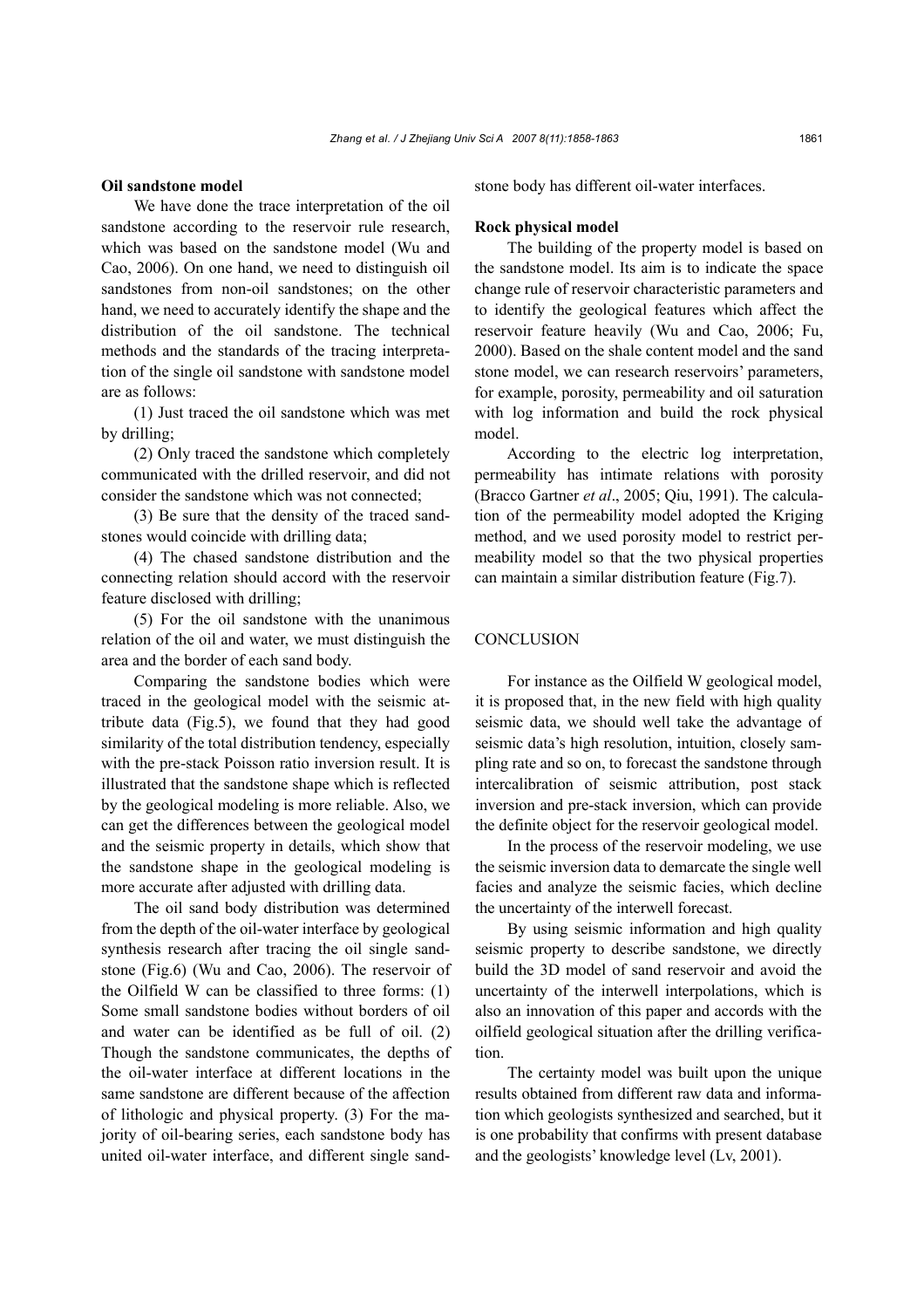## **Oil sandstone model**

We have done the trace interpretation of the oil sandstone according to the reservoir rule research, which was based on the sandstone model (Wu and Cao, 2006). On one hand, we need to distinguish oil sandstones from non-oil sandstones; on the other hand, we need to accurately identify the shape and the distribution of the oil sandstone. The technical methods and the standards of the tracing interpretation of the single oil sandstone with sandstone model are as follows:

(1) Just traced the oil sandstone which was met by drilling;

(2) Only traced the sandstone which completely communicated with the drilled reservoir, and did not consider the sandstone which was not connected;

(3) Be sure that the density of the traced sandstones would coincide with drilling data;

(4) The chased sandstone distribution and the connecting relation should accord with the reservoir feature disclosed with drilling;

(5) For the oil sandstone with the unanimous relation of the oil and water, we must distinguish the area and the border of each sand body.

Comparing the sandstone bodies which were traced in the geological model with the seismic attribute data (Fig.5), we found that they had good similarity of the total distribution tendency, especially with the pre-stack Poisson ratio inversion result. It is illustrated that the sandstone shape which is reflected by the geological modeling is more reliable. Also, we can get the differences between the geological model and the seismic property in details, which show that the sandstone shape in the geological modeling is more accurate after adjusted with drilling data.

The oil sand body distribution was determined from the depth of the oil-water interface by geological synthesis research after tracing the oil single sandstone (Fig.6) (Wu and Cao, 2006). The reservoir of the Oilfield W can be classified to three forms: (1) Some small sandstone bodies without borders of oil and water can be identified as be full of oil. (2) Though the sandstone communicates, the depths of the oil-water interface at different locations in the same sandstone are different because of the affection of lithologic and physical property. (3) For the majority of oil-bearing series, each sandstone body has united oil-water interface, and different single sandstone body has different oil-water interfaces.

## **Rock physical model**

The building of the property model is based on the sandstone model. Its aim is to indicate the space change rule of reservoir characteristic parameters and to identify the geological features which affect the reservoir feature heavily (Wu and Cao, 2006; Fu, 2000). Based on the shale content model and the sand stone model, we can research reservoirs' parameters, for example, porosity, permeability and oil saturation with log information and build the rock physical model.

According to the electric log interpretation, permeability has intimate relations with porosity (Bracco Gartner *et al*., 2005; Qiu, 1991). The calculation of the permeability model adopted the Kriging method, and we used porosity model to restrict permeability model so that the two physical properties can maintain a similar distribution feature (Fig.7).

## **CONCLUSION**

For instance as the Oilfield W geological model, it is proposed that, in the new field with high quality seismic data, we should well take the advantage of seismic data's high resolution, intuition, closely sampling rate and so on, to forecast the sandstone through intercalibration of seismic attribution, post stack inversion and pre-stack inversion, which can provide the definite object for the reservoir geological model.

In the process of the reservoir modeling, we use the seismic inversion data to demarcate the single well facies and analyze the seismic facies, which decline the uncertainty of the interwell forecast.

By using seismic information and high quality seismic property to describe sandstone, we directly build the 3D model of sand reservoir and avoid the uncertainty of the interwell interpolations, which is also an innovation of this paper and accords with the oilfield geological situation after the drilling verification.

The certainty model was built upon the unique results obtained from different raw data and information which geologists synthesized and searched, but it is one probability that confirms with present database and the geologists' knowledge level (Lv, 2001).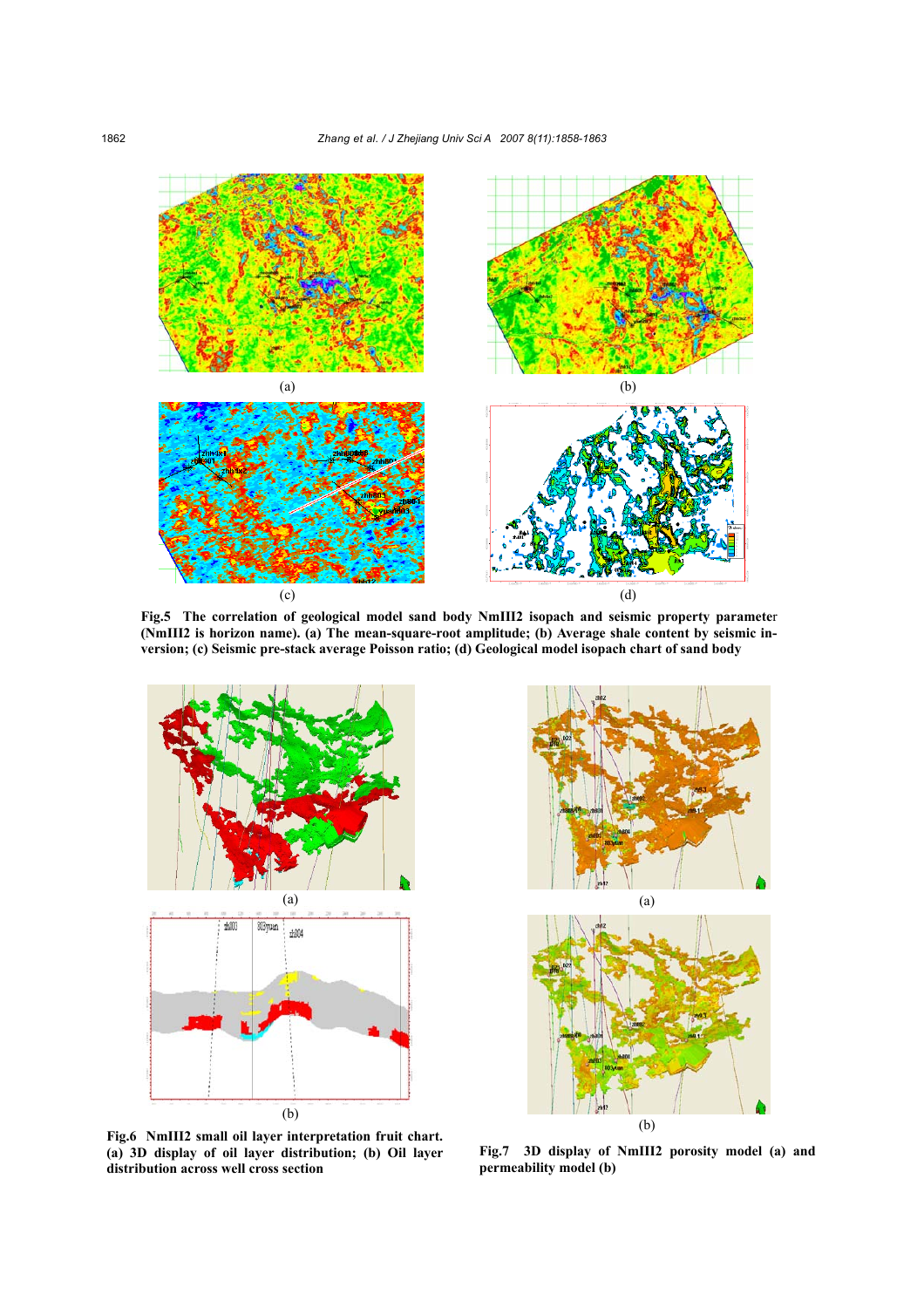

**Fig.5 The correlation of geological model sand body NmIII2 isopach and seismic property paramete**r **(NmIII2 is horizon name). (a) The mean-square-root amplitude; (b) Average shale content by seismic inversion; (c) Seismic pre-stack average Poisson ratio; (d) Geological model isopach chart of sand body**



(a) (b)

**Fig.6 NmIII2 small oil layer interpretation fruit chart. (a) 3D display of oil layer distribution; (b) Oil layer distribution across well cross section**

**Fig.7 3D display of NmIII2 porosity model (a) and permeability model (b)**